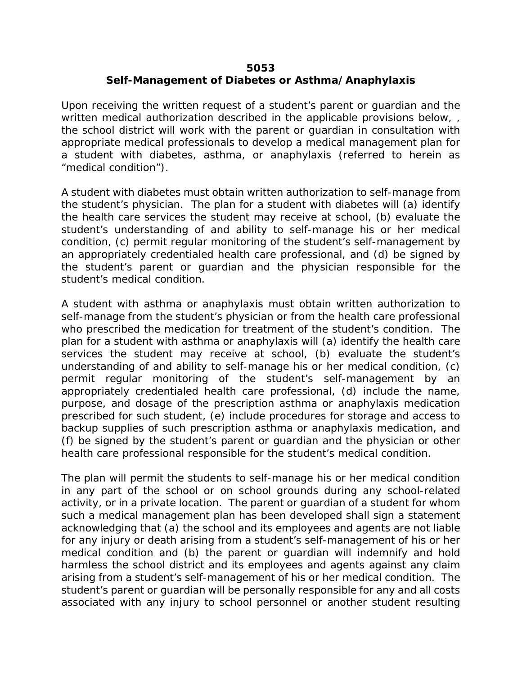## **5053 Self-Management of Diabetes or Asthma/Anaphylaxis**

Upon receiving the written request of a student's parent or guardian and the written medical authorization described in the applicable provisions below, the school district will work with the parent or guardian in consultation with appropriate medical professionals to develop a medical management plan for a student with diabetes, asthma, or anaphylaxis (referred to herein as "medical condition").

A student with diabetes must obtain written authorization to self-manage from the student's physician. The plan for a student with diabetes will (a) identify the health care services the student may receive at school, (b) evaluate the student's understanding of and ability to self-manage his or her medical condition, (c) permit regular monitoring of the student's self-management by an appropriately credentialed health care professional, and (d) be signed by the student's parent or guardian and the physician responsible for the student's medical condition.

A student with asthma or anaphylaxis must obtain written authorization to self-manage from the student's physician or from the health care professional who prescribed the medication for treatment of the student's condition. The plan for a student with asthma or anaphylaxis will (a) identify the health care services the student may receive at school, (b) evaluate the student's understanding of and ability to self-manage his or her medical condition, (c) permit regular monitoring of the student's self-management by an appropriately credentialed health care professional, (d) include the name, purpose, and dosage of the prescription asthma or anaphylaxis medication prescribed for such student, (e) include procedures for storage and access to backup supplies of such prescription asthma or anaphylaxis medication, and (f) be signed by the student's parent or guardian and the physician or other health care professional responsible for the student's medical condition.

The plan will permit the students to self-manage his or her medical condition in any part of the school or on school grounds during any school-related activity, or in a private location. The parent or guardian of a student for whom such a medical management plan has been developed shall sign a statement acknowledging that (a) the school and its employees and agents are not liable for any injury or death arising from a student's self-management of his or her medical condition and (b) the parent or guardian will indemnify and hold harmless the school district and its employees and agents against any claim arising from a student's self-management of his or her medical condition. The student's parent or guardian will be personally responsible for any and all costs associated with any injury to school personnel or another student resulting